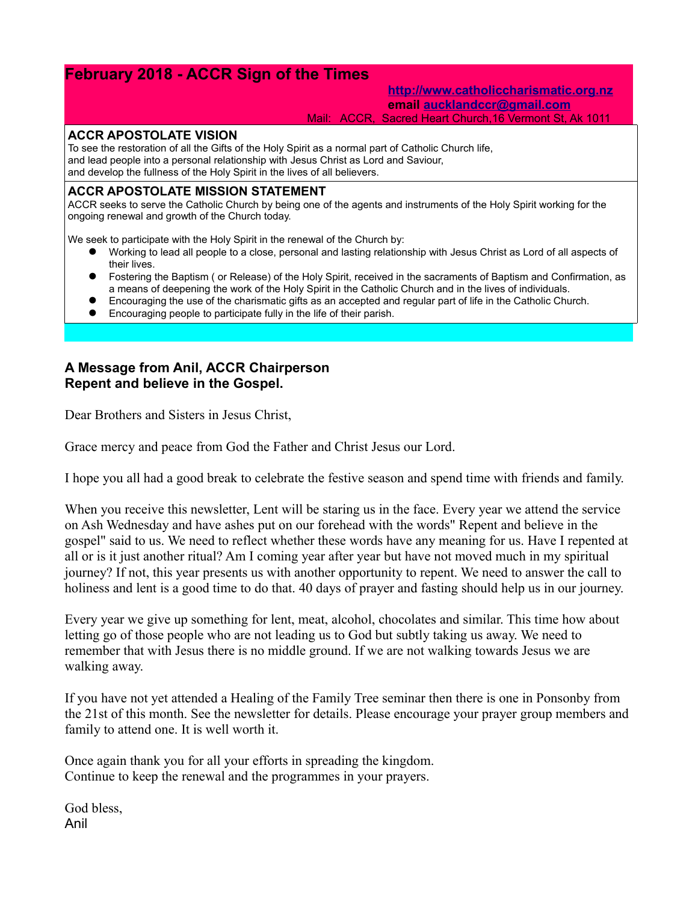# **February 2018 - ACCR Sign of the Times**

**[http://www.catholiccharismatic.org.nz](http://www.catholiccharismatic.org.nz/) email [aucklandccr@gmail.com](mailto:aucklandccr@gmail.com)**

Mail: ACCR, Sacred Heart Church,16 Vermont St, Ak 1011

#### **ACCR APOSTOLATE VISION**

To see the restoration of all the Gifts of the Holy Spirit as a normal part of Catholic Church life, and lead people into a personal relationship with Jesus Christ as Lord and Saviour, and develop the fullness of the Holy Spirit in the lives of all believers.

### **ACCR APOSTOLATE MISSION STATEMENT**

ACCR seeks to serve the Catholic Church by being one of the agents and instruments of the Holy Spirit working for the ongoing renewal and growth of the Church today.

We seek to participate with the Holy Spirit in the renewal of the Church by:

- Working to lead all people to a close, personal and lasting relationship with Jesus Christ as Lord of all aspects of their lives.
- Fostering the Baptism ( or Release) of the Holy Spirit, received in the sacraments of Baptism and Confirmation, as a means of deepening the work of the Holy Spirit in the Catholic Church and in the lives of individuals.
- Encouraging the use of the charismatic gifts as an accepted and regular part of life in the Catholic Church.
- Encouraging people to participate fully in the life of their parish.

## **A Message from Anil, ACCR Chairperson Repent and believe in the Gospel.**

Dear Brothers and Sisters in Jesus Christ,

Grace mercy and peace from God the Father and Christ Jesus our Lord.

I hope you all had a good break to celebrate the festive season and spend time with friends and family.

When you receive this newsletter, Lent will be staring us in the face. Every year we attend the service on Ash Wednesday and have ashes put on our forehead with the words" Repent and believe in the gospel" said to us. We need to reflect whether these words have any meaning for us. Have I repented at all or is it just another ritual? Am I coming year after year but have not moved much in my spiritual journey? If not, this year presents us with another opportunity to repent. We need to answer the call to holiness and lent is a good time to do that. 40 days of prayer and fasting should help us in our journey.

Every year we give up something for lent, meat, alcohol, chocolates and similar. This time how about letting go of those people who are not leading us to God but subtly taking us away. We need to remember that with Jesus there is no middle ground. If we are not walking towards Jesus we are walking away.

If you have not yet attended a Healing of the Family Tree seminar then there is one in Ponsonby from the 21st of this month. See the newsletter for details. Please encourage your prayer group members and family to attend one. It is well worth it.

Once again thank you for all your efforts in spreading the kingdom. Continue to keep the renewal and the programmes in your prayers.

God bless, Anil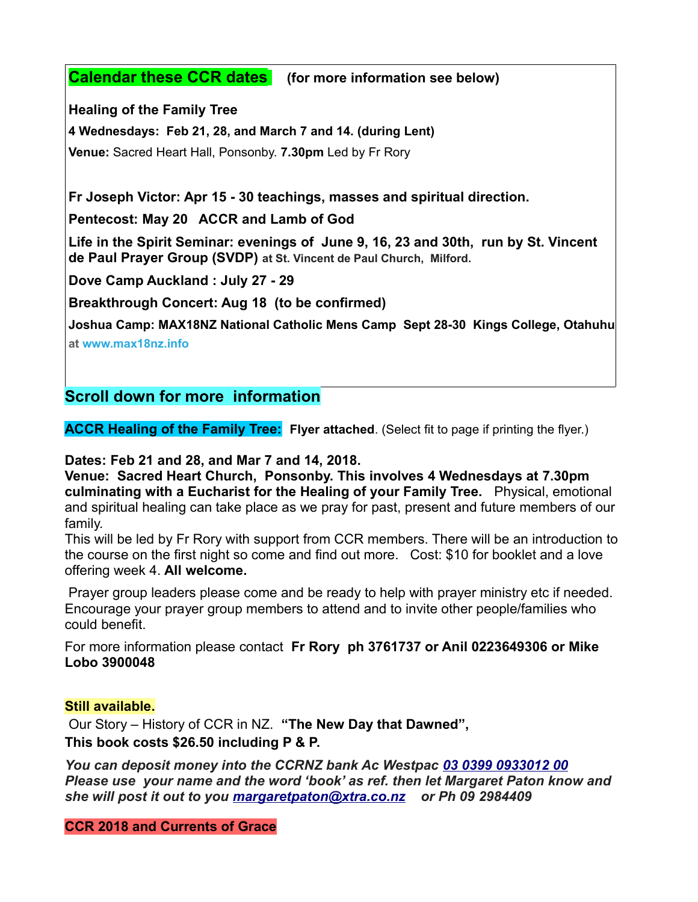# **Calendar these CCR dates (for more information see below)**

**Healing of the Family Tree**

**4 Wednesdays: Feb 21, 28, and March 7 and 14. (during Lent)**

**Venue:** Sacred Heart Hall, Ponsonby. **7.30pm** Led by Fr Rory

**Fr Joseph Victor: Apr 15 - 30 teachings, masses and spiritual direction.**

**Pentecost: May 20 ACCR and Lamb of God** 

**Life in the Spirit Seminar: evenings of June 9, 16, 23 and 30th, run by St. Vincent de Paul Prayer Group (SVDP) at St. Vincent de Paul Church, Milford.**

**Dove Camp Auckland : July 27 - 29**

**Breakthrough Concert: Aug 18 (to be confirmed)**

**Joshua Camp: MAX18NZ National Catholic Mens Camp Sept 28-30 Kings College, Otahuhu at [www.max18nz.info](https://max18nz.us11.list-manage.com/track/click?u=e18eab0c2ef3f49b33b96ee7b&id=1c847e9037&e=b79ca322dc)**

**Scroll down for more information**

**ACCR Healing of the Family Tree: Flyer attached**. (Select fit to page if printing the flyer.)

**Dates: Feb 21 and 28, and Mar 7 and 14, 2018.**

**Venue: Sacred Heart Church, Ponsonby. This involves 4 Wednesdays at 7.30pm culminating with a Eucharist for the Healing of your Family Tree.** Physical, emotional and spiritual healing can take place as we pray for past, present and future members of our family.

This will be led by Fr Rory with support from CCR members. There will be an introduction to the course on the first night so come and find out more. Cost: \$10 for booklet and a love offering week 4. **All welcome.**

 Prayer group leaders please come and be ready to help with prayer ministry etc if needed. Encourage your prayer group members to attend and to invite other people/families who could benefit.

For more information please contact **Fr Rory ph 3761737 or Anil 0223649306 or Mike Lobo 3900048**

# **Still available.**

Our Story – History of CCR in NZ. **"The New Day that Dawned", This book costs \$26.50 including P & P.**

*You can deposit money into the CCRNZ bank Ac Westpac [03 0399 0933012 00](tel:03%200399%200933012%2000) Please use your name and the word 'book' as ref. then let Margaret Paton know and she will post it out to you [margaretpaton@xtra.co.nz](mailto:margaretpaton@xtra.co.nz) or Ph 09 2984409*

**CCR 2018 and Currents of Grace**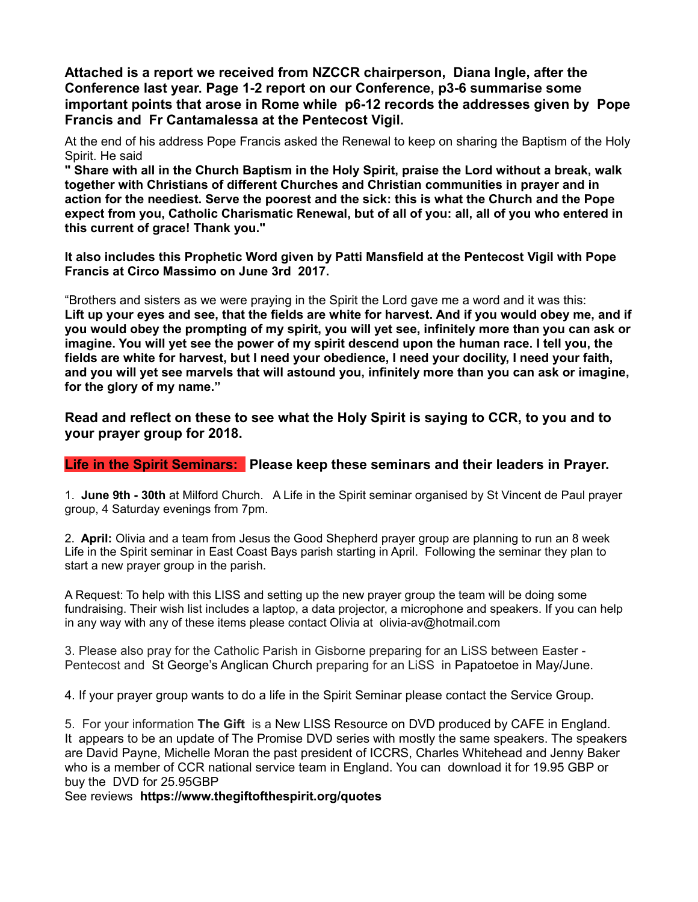**Attached is a report we received from NZCCR chairperson, Diana Ingle, after the Conference last year. Page 1-2 report on our Conference, p3-6 summarise some important points that arose in Rome while p6-12 records the addresses given by Pope Francis and Fr Cantamalessa at the Pentecost Vigil.**

At the end of his address Pope Francis asked the Renewal to keep on sharing the Baptism of the Holy Spirit. He said

**" Share with all in the Church Baptism in the Holy Spirit, praise the Lord without a break, walk together with Christians of different Churches and Christian communities in prayer and in action for the neediest. Serve the poorest and the sick: this is what the Church and the Pope expect from you, Catholic Charismatic Renewal, but of all of you: all, all of you who entered in this current of grace! Thank you."**

**It also includes this Prophetic Word given by Patti Mansfield at the Pentecost Vigil with Pope Francis at Circo Massimo on June 3rd 2017.**

"Brothers and sisters as we were praying in the Spirit the Lord gave me a word and it was this: **Lift up your eyes and see, that the fields are white for harvest. And if you would obey me, and if you would obey the prompting of my spirit, you will yet see, infinitely more than you can ask or imagine. You will yet see the power of my spirit descend upon the human race. I tell you, the fields are white for harvest, but I need your obedience, I need your docility, I need your faith, and you will yet see marvels that will astound you, infinitely more than you can ask or imagine, for the glory of my name."**

**Read and reflect on these to see what the Holy Spirit is saying to CCR, to you and to your prayer group for 2018.**

## **Life in the Spirit Seminars: Please keep these seminars and their leaders in Prayer.**

1. **June 9th - 30th** at Milford Church. A Life in the Spirit seminar organised by St Vincent de Paul prayer group, 4 Saturday evenings from 7pm.

2. **April:** Olivia and a team from Jesus the Good Shepherd prayer group are planning to run an 8 week Life in the Spirit seminar in East Coast Bays parish starting in April. Following the seminar they plan to start a new prayer group in the parish.

A Request: To help with this LISS and setting up the new prayer group the team will be doing some fundraising. Their wish list includes a laptop, a data projector, a microphone and speakers. If you can help in any way with any of these items please contact Olivia at olivia-av@hotmail.com

3. Please also pray for the Catholic Parish in Gisborne preparing for an LiSS between Easter - Pentecost and St George's Anglican Church preparing for an LiSS in Papatoetoe in May/June.

4. If your prayer group wants to do a life in the Spirit Seminar please contact the Service Group.

5. For your information **The Gift** is a New LISS Resource on DVD produced by CAFE in England. It appears to be an update of The Promise DVD series with mostly the same speakers. The speakers are David Payne, Michelle Moran the past president of ICCRS, Charles Whitehead and Jenny Baker who is a member of CCR national service team in England. You can download it for 19.95 GBP or buy the DVD for 25.95GBP

See reviews **https://www.thegiftofthespirit.org/quotes**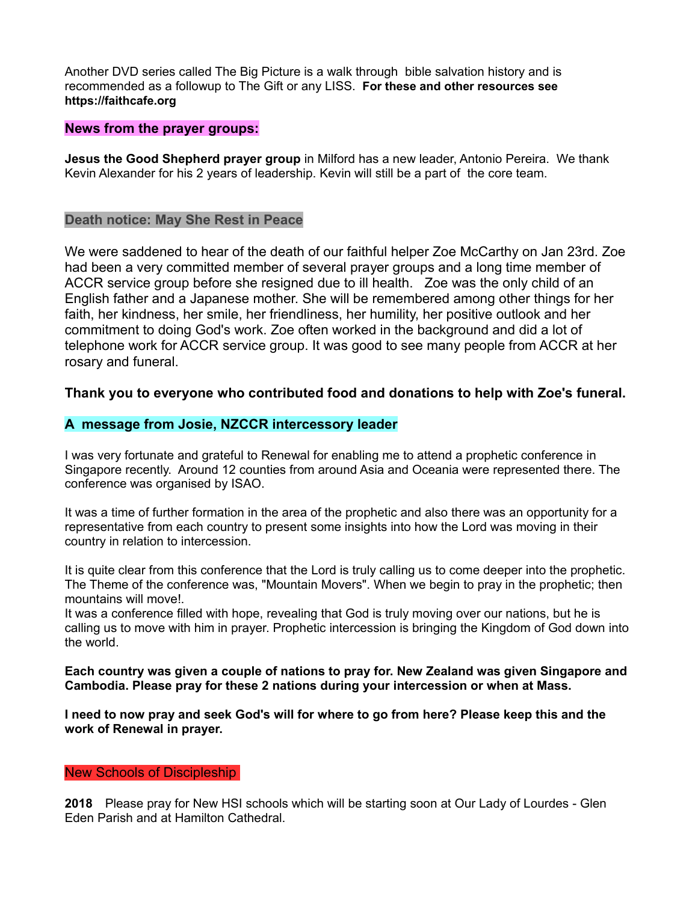Another DVD series called The Big Picture is a walk through bible salvation history and is recommended as a followup to The Gift or any LISS. **For these and other resources see https://faithcafe.org**

## **News from the prayer groups:**

**Jesus the Good Shepherd prayer group** in Milford has a new leader, Antonio Pereira. We thank Kevin Alexander for his 2 years of leadership. Kevin will still be a part of the core team.

## **Death notice: May She Rest in Peace**

We were saddened to hear of the death of our faithful helper Zoe McCarthy on Jan 23rd. Zoe had been a very committed member of several prayer groups and a long time member of ACCR service group before she resigned due to ill health. Zoe was the only child of an English father and a Japanese mother. She will be remembered among other things for her faith, her kindness, her smile, her friendliness, her humility, her positive outlook and her commitment to doing God's work. Zoe often worked in the background and did a lot of telephone work for ACCR service group. It was good to see many people from ACCR at her rosary and funeral.

## **Thank you to everyone who contributed food and donations to help with Zoe's funeral.**

## **A message from Josie, NZCCR intercessory leader**

I was very fortunate and grateful to Renewal for enabling me to attend a prophetic conference in Singapore recently. Around 12 counties from around Asia and Oceania were represented there. The conference was organised by ISAO.

It was a time of further formation in the area of the prophetic and also there was an opportunity for a representative from each country to present some insights into how the Lord was moving in their country in relation to intercession.

It is quite clear from this conference that the Lord is truly calling us to come deeper into the prophetic. The Theme of the conference was, "Mountain Movers". When we begin to pray in the prophetic; then mountains will move!.

It was a conference filled with hope, revealing that God is truly moving over our nations, but he is calling us to move with him in prayer. Prophetic intercession is bringing the Kingdom of God down into the world.

**Each country was given a couple of nations to pray for. New Zealand was given Singapore and Cambodia. Please pray for these 2 nations during your intercession or when at Mass.** 

**I need to now pray and seek God's will for where to go from here? Please keep this and the work of Renewal in prayer.**

#### New Schools of Discipleship

**2018** Please pray for New HSI schools which will be starting soon at Our Lady of Lourdes - Glen Eden Parish and at Hamilton Cathedral.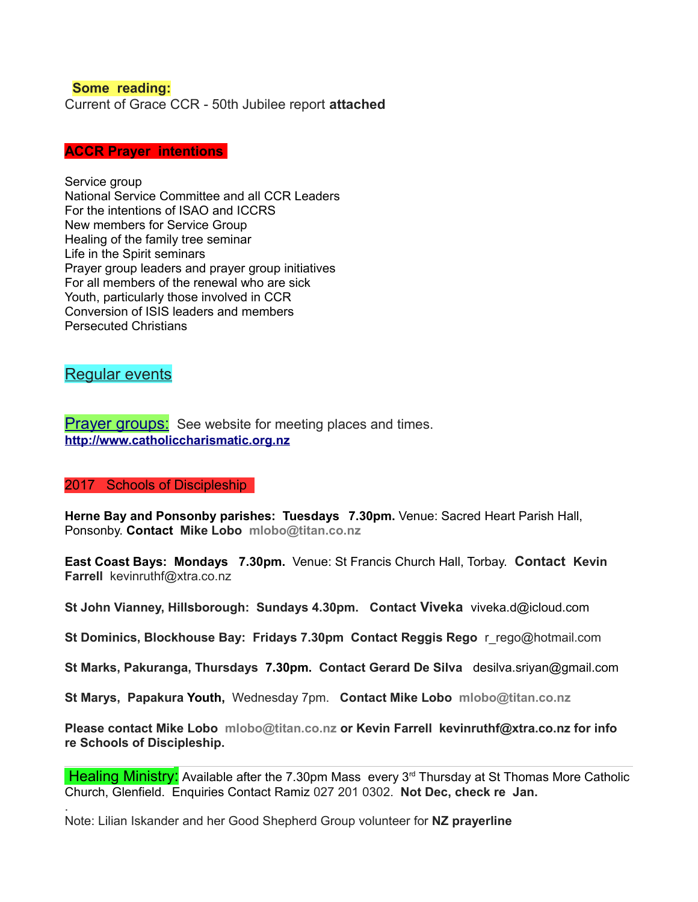### **Some reading:**

Current of Grace CCR - 50th Jubilee report **attached**

#### **ACCR Prayer intentions**

Service group National Service Committee and all CCR Leaders For the intentions of ISAO and ICCRS New members for Service Group Healing of the family tree seminar Life in the Spirit seminars Prayer group leaders and prayer group initiatives For all members of the renewal who are sick Youth, particularly those involved in CCR Conversion of ISIS leaders and members Persecuted Christians

## Regular events

.

**Prayer groups:** See website for meeting places and times. **[http://www.catholiccharismatic.org.nz](http://www.catholiccharismatic.org.nz/)**

#### 2017 Schools of Discipleship

**Herne Bay and Ponsonby parishes: Tuesdays 7.30pm.** Venue: Sacred Heart Parish Hall, Ponsonby. **Contact Mike Lobo mlobo@titan.co.nz**

**East Coast Bays: Mondays 7.30pm.** Venue: St Francis Church Hall, Torbay. **Contact Kevin Farrell** [kevinruthf@xtra.co.nz](mailto:kevinruthf@xtra.co.nz)

**St John Vianney, Hillsborough: Sundays 4.30pm. Contact Viveka** viveka.d@icloud.com

**St Dominics, Blockhouse Bay: Fridays 7.30pm Contact Reggis Rego** r\_rego@hotmail.com

**St Marks, Pakuranga, Thursdays 7.30pm. Contact Gerard De Silva** desilva.sriyan@gmail.com

**St Marys, Papakura Youth,** Wednesday 7pm. **Contact Mike Lobo mlobo@titan.co.nz**

**Please contact Mike Lobo mlobo@titan.co.nz or Kevin Farrell [kevinruthf@xtra.co.nz](mailto:kevinruthf@xtra.co.nz) for info re Schools of Discipleship.**

**Healing Ministry:** Available after the 7.30pm Mass every  $3<sup>rd</sup>$  Thursday at St Thomas More Catholic Church, Glenfield. Enquiries Contact Ramiz 027 201 0302. **Not Dec, check re Jan.**

Note: Lilian Iskander and her Good Shepherd Group volunteer for **NZ prayerline**